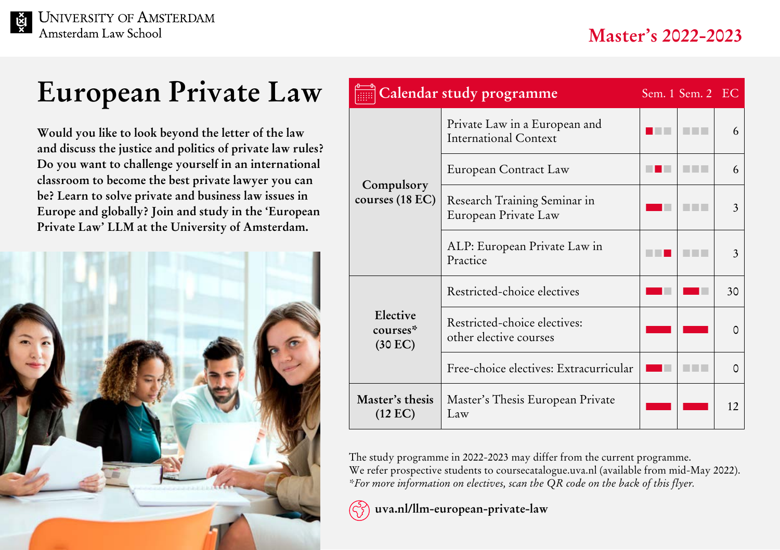## **European Private Law**

**Would you like to look beyond the letter of the law and discuss the justice and politics of private law rules? Do you want to challenge yourself in an international classroom to become the best private lawyer you can be? Learn to solve private and business law issues in Europe and globally? Join and study in the 'European Private Law' LLM at the University of Amsterdam.** 



| Calendar study programme             |                                                               | Sem. 1 Sem. 2 EC |    |
|--------------------------------------|---------------------------------------------------------------|------------------|----|
| Compulsory<br>courses (18 EC)        | Private Law in a European and<br><b>International Context</b> |                  | 6  |
|                                      | European Contract Law                                         |                  | 6  |
|                                      | Research Training Seminar in<br>European Private Law          |                  | 3  |
|                                      | ALP: European Private Law in<br>Practice                      |                  | 3  |
| Elective<br>courses*<br>(30 EC)      | Restricted-choice electives                                   |                  | 30 |
|                                      | Restricted-choice electives:<br>other elective courses        |                  | O  |
|                                      | Free-choice electives: Extracurricular                        |                  | O  |
| Master's thesis<br>$(12 \text{ EC})$ | Master's Thesis European Private<br>Law                       |                  | 12 |

The study programme in 2022-2023 may differ from the current programme. We refer prospective students to coursecatalogue.uva.nl (available from mid-May 2022). *\*For more information on electives, scan the QR code on the back of this flyer.*



 **[uva.nl/llm-european-private-law](http://uva.nl/llm-european-private-law)**